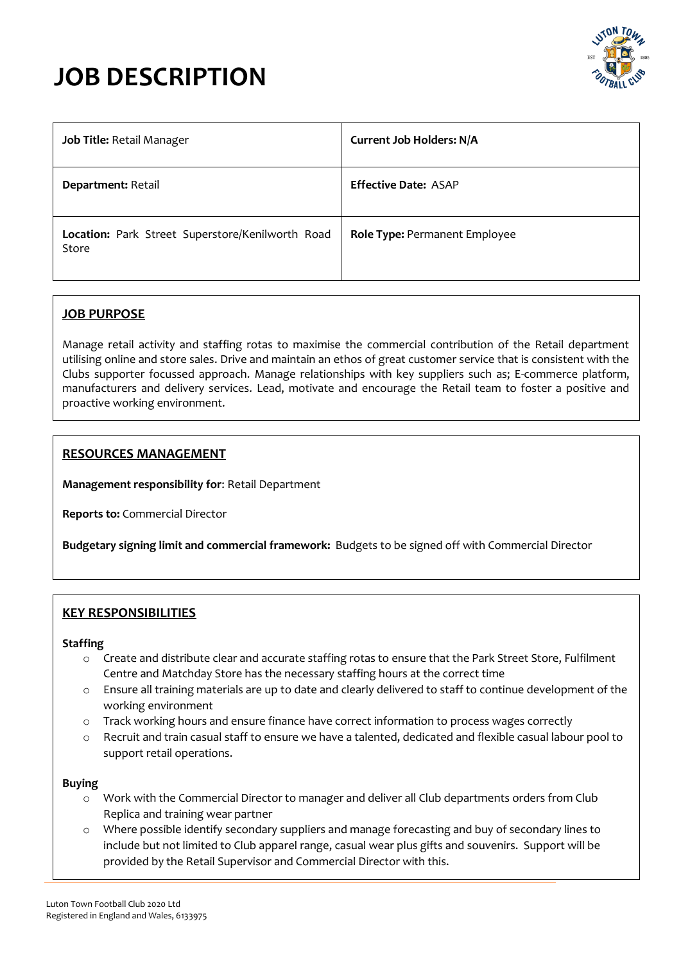# **JOB DESCRIPTION**



| Job Title: Retail Manager                                 | <b>Current Job Holders: N/A</b>      |
|-----------------------------------------------------------|--------------------------------------|
| Department: Retail                                        | <b>Effective Date: ASAP</b>          |
| Location: Park Street Superstore/Kenilworth Road<br>Store | <b>Role Type: Permanent Employee</b> |

# **JOB PURPOSE**

Manage retail activity and staffing rotas to maximise the commercial contribution of the Retail department utilising online and store sales. Drive and maintain an ethos of great customer service that is consistent with the Clubs supporter focussed approach. Manage relationships with key suppliers such as; E-commerce platform, manufacturers and delivery services. Lead, motivate and encourage the Retail team to foster a positive and proactive working environment.

# **RESOURCES MANAGEMENT**

**Management responsibility for**: Retail Department

**Reports to:** Commercial Director

**Budgetary signing limit and commercial framework:** Budgets to be signed off with Commercial Director

# **KEY RESPONSIBILITIES**

#### **Staffing**

- o Create and distribute clear and accurate staffing rotas to ensure that the Park Street Store, Fulfilment Centre and Matchday Store has the necessary staffing hours at the correct time
- o Ensure all training materials are up to date and clearly delivered to staff to continue development of the working environment
- o Track working hours and ensure finance have correct information to process wages correctly
- o Recruit and train casual staff to ensure we have a talented, dedicated and flexible casual labour pool to support retail operations.

#### **Buying**

- o Work with the Commercial Director to manager and deliver all Club departments orders from Club Replica and training wear partner
- o Where possible identify secondary suppliers and manage forecasting and buy of secondary lines to include but not limited to Club apparel range, casual wear plus gifts and souvenirs. Support will be provided by the Retail Supervisor and Commercial Director with this.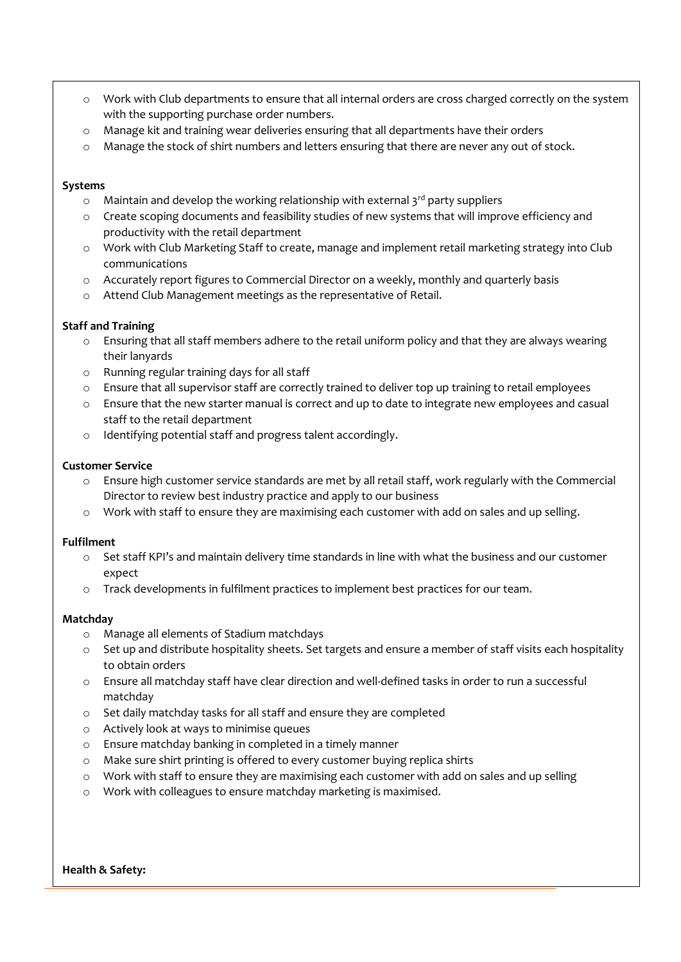- o Work with Club departments to ensure that all internal orders are cross charged correctly on the system with the supporting purchase order numbers.
- o Manage kit and training wear deliveries ensuring that all departments have their orders
- $\circ$  Manage the stock of shirt numbers and letters ensuring that there are never any out of stock.

#### **Systems**

- $\circ$  Maintain and develop the working relationship with external 3<sup>rd</sup> party suppliers
- o Create scoping documents and feasibility studies of new systems that will improve efficiency and productivity with the retail department
- o Work with Club Marketing Staff to create, manage and implement retail marketing strategy into Club communications
- o Accurately report figures to Commercial Director on a weekly, monthly and quarterly basis
- o Attend Club Management meetings as the representative of Retail.

#### **Staff and Training**

- o Ensuring that all staff members adhere to the retail uniform policy and that they are always wearing their lanyards
- o Running regular training days for all staff
- o Ensure that all supervisor staff are correctly trained to deliver top up training to retail employees
- o Ensure that the new starter manual is correct and up to date to integrate new employees and casual staff to the retail department
- o Identifying potential staff and progress talent accordingly.

#### **Customer Service**

- o Ensure high customer service standards are met by all retail staff, work regularly with the Commercial Director to review best industry practice and apply to our business
- o Work with staff to ensure they are maximising each customer with add on sales and up selling.

#### **Fulfilment**

- $\circ$  Set staff KPI's and maintain delivery time standards in line with what the business and our customer expect
- o Track developments in fulfilment practices to implement best practices for our team.

#### **Matchday**

- o Manage all elements of Stadium matchdays
- o Set up and distribute hospitality sheets. Set targets and ensure a member of staff visits each hospitality to obtain orders
- o Ensure all matchday staff have clear direction and well-defined tasks in order to run a successful matchday
- o Set daily matchday tasks for all staff and ensure they are completed
- o Actively look at ways to minimise queues
- o Ensure matchday banking in completed in a timely manner
- o Make sure shirt printing is offered to every customer buying replica shirts
- $\circ$  Work with staff to ensure they are maximising each customer with add on sales and up selling
- o Work with colleagues to ensure matchday marketing is maximised.

**Health & Safety:**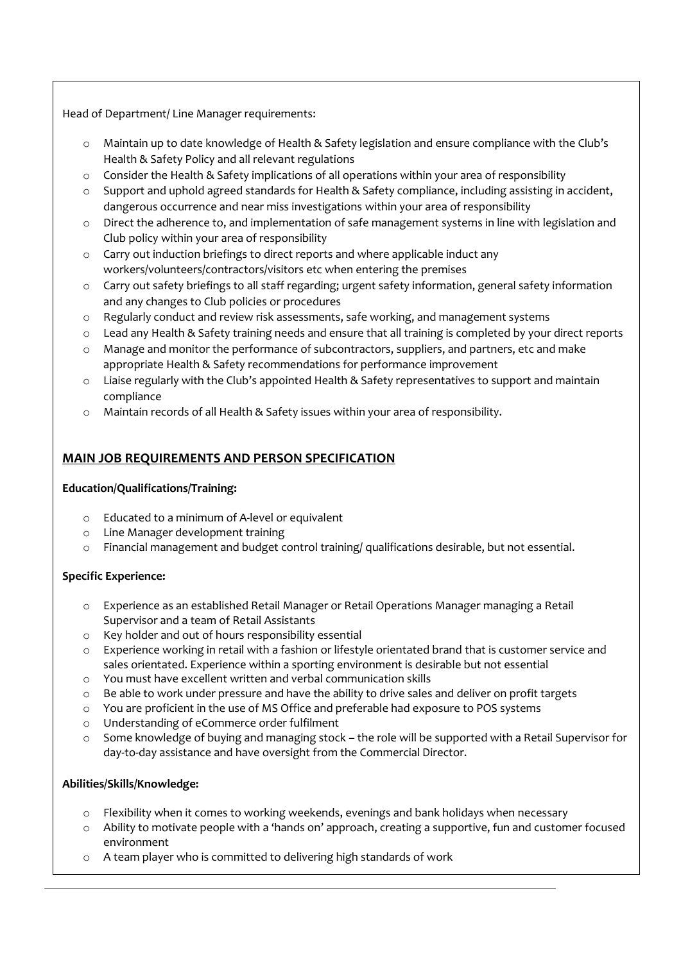Head of Department/ Line Manager requirements:

- o Maintain up to date knowledge of Health & Safety legislation and ensure compliance with the Club's Health & Safety Policy and all relevant regulations
- o Consider the Health & Safety implications of all operations within your area of responsibility
- o Support and uphold agreed standards for Health & Safety compliance, including assisting in accident, dangerous occurrence and near miss investigations within your area of responsibility
- o Direct the adherence to, and implementation of safe management systems in line with legislation and Club policy within your area of responsibility
- o Carry out induction briefings to direct reports and where applicable induct any workers/volunteers/contractors/visitors etc when entering the premises
- o Carry out safety briefings to all staff regarding; urgent safety information, general safety information and any changes to Club policies or procedures
- o Regularly conduct and review risk assessments, safe working, and management systems
- o Lead any Health & Safety training needs and ensure that all training is completed by your direct reports
- o Manage and monitor the performance of subcontractors, suppliers, and partners, etc and make appropriate Health & Safety recommendations for performance improvement
- o Liaise regularly with the Club's appointed Health & Safety representatives to support and maintain compliance
- o Maintain records of all Health & Safety issues within your area of responsibility.

# **MAIN JOB REQUIREMENTS AND PERSON SPECIFICATION**

## **Education/Qualifications/Training:**

- o Educated to a minimum of A-level or equivalent
- o Line Manager development training
- o Financial management and budget control training/ qualifications desirable, but not essential.

## **Specific Experience:**

- o Experience as an established Retail Manager or Retail Operations Manager managing a Retail Supervisor and a team of Retail Assistants
- o Key holder and out of hours responsibility essential
- o Experience working in retail with a fashion or lifestyle orientated brand that is customer service and sales orientated. Experience within a sporting environment is desirable but not essential
- o You must have excellent written and verbal communication skills
- o Be able to work under pressure and have the ability to drive sales and deliver on profit targets
- o You are proficient in the use of MS Office and preferable had exposure to POS systems
- o Understanding of eCommerce order fulfilment
- o Some knowledge of buying and managing stock the role will be supported with a Retail Supervisor for day-to-day assistance and have oversight from the Commercial Director.

## **Abilities/Skills/Knowledge:**

- o Flexibility when it comes to working weekends, evenings and bank holidays when necessary
- o Ability to motivate people with a 'hands on' approach, creating a supportive, fun and customer focused environment
- o A team player who is committed to delivering high standards of work